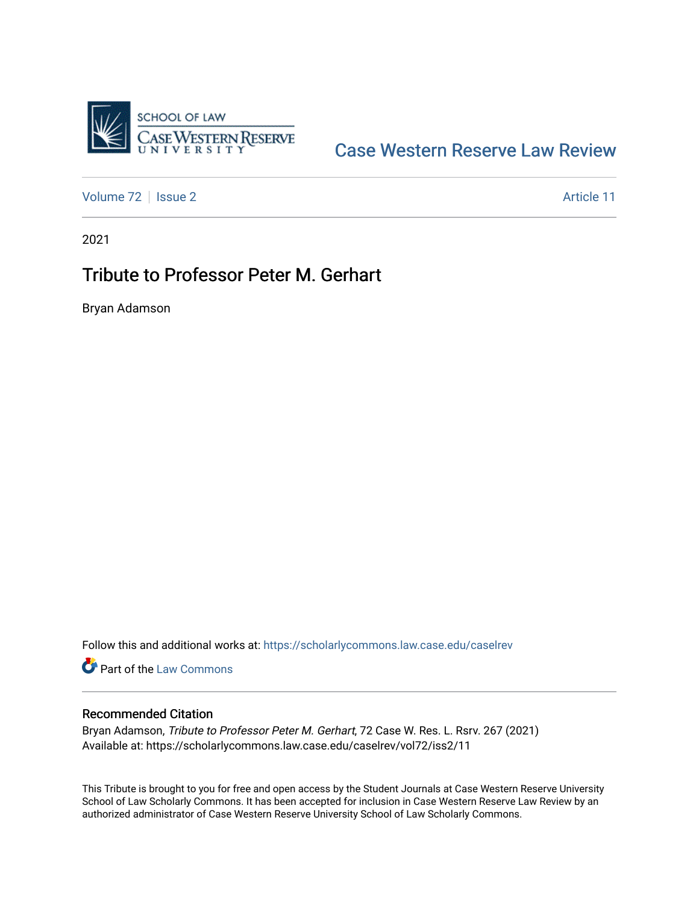

## [Case Western Reserve Law Review](https://scholarlycommons.law.case.edu/caselrev)

[Volume 72](https://scholarlycommons.law.case.edu/caselrev/vol72) | [Issue 2](https://scholarlycommons.law.case.edu/caselrev/vol72/iss2) Article 11

2021

## Tribute to Professor Peter M. Gerhart

Bryan Adamson

Follow this and additional works at: [https://scholarlycommons.law.case.edu/caselrev](https://scholarlycommons.law.case.edu/caselrev?utm_source=scholarlycommons.law.case.edu%2Fcaselrev%2Fvol72%2Fiss2%2F11&utm_medium=PDF&utm_campaign=PDFCoverPages)

**Part of the [Law Commons](https://network.bepress.com/hgg/discipline/578?utm_source=scholarlycommons.law.case.edu%2Fcaselrev%2Fvol72%2Fiss2%2F11&utm_medium=PDF&utm_campaign=PDFCoverPages)** 

## Recommended Citation

Bryan Adamson, Tribute to Professor Peter M. Gerhart, 72 Case W. Res. L. Rsrv. 267 (2021) Available at: https://scholarlycommons.law.case.edu/caselrev/vol72/iss2/11

This Tribute is brought to you for free and open access by the Student Journals at Case Western Reserve University School of Law Scholarly Commons. It has been accepted for inclusion in Case Western Reserve Law Review by an authorized administrator of Case Western Reserve University School of Law Scholarly Commons.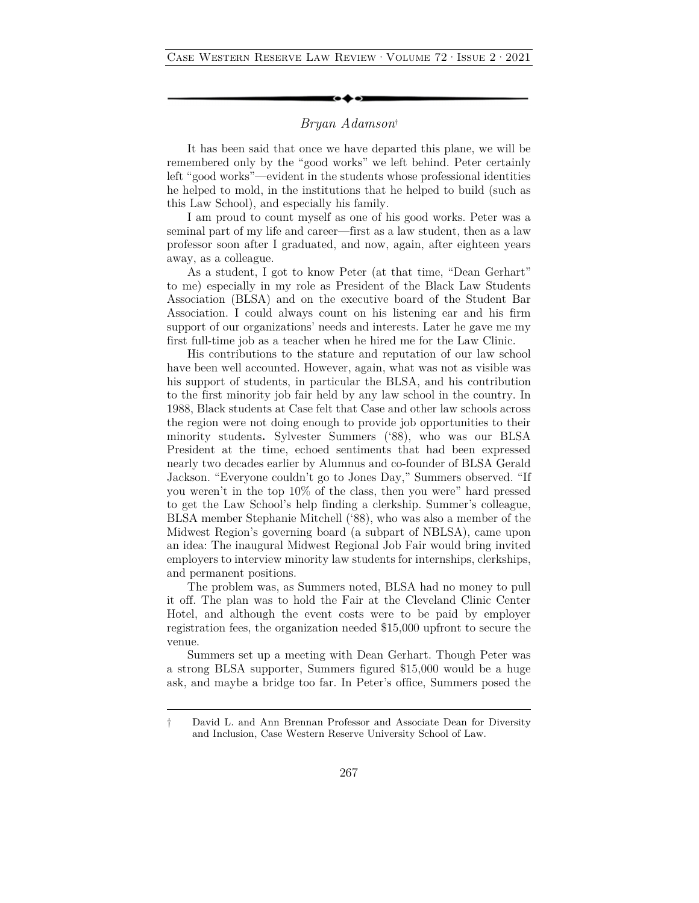## *Bryan Adamson*†

It has been said that once we have departed this plane, we will be remembered only by the "good works" we left behind. Peter certainly left "good works"—evident in the students whose professional identities he helped to mold, in the institutions that he helped to build (such as this Law School), and especially his family.

I am proud to count myself as one of his good works. Peter was a seminal part of my life and career—first as a law student, then as a law professor soon after I graduated, and now, again, after eighteen years away, as a colleague.

As a student, I got to know Peter (at that time, "Dean Gerhart" to me) especially in my role as President of the Black Law Students Association (BLSA) and on the executive board of the Student Bar Association. I could always count on his listening ear and his firm support of our organizations' needs and interests. Later he gave me my first full-time job as a teacher when he hired me for the Law Clinic.

His contributions to the stature and reputation of our law school have been well accounted. However, again, what was not as visible was his support of students, in particular the BLSA, and his contribution to the first minority job fair held by any law school in the country. In 1988, Black students at Case felt that Case and other law schools across the region were not doing enough to provide job opportunities to their minority students**.** Sylvester Summers ('88), who was our BLSA President at the time, echoed sentiments that had been expressed nearly two decades earlier by Alumnus and co-founder of BLSA Gerald Jackson. "Everyone couldn't go to Jones Day," Summers observed. "If you weren't in the top 10% of the class, then you were" hard pressed to get the Law School's help finding a clerkship. Summer's colleague, BLSA member Stephanie Mitchell ('88), who was also a member of the Midwest Region's governing board (a subpart of NBLSA), came upon an idea: The inaugural Midwest Regional Job Fair would bring invited employers to interview minority law students for internships, clerkships, and permanent positions.

The problem was, as Summers noted, BLSA had no money to pull it off. The plan was to hold the Fair at the Cleveland Clinic Center Hotel, and although the event costs were to be paid by employer registration fees, the organization needed \$15,000 upfront to secure the venue.

Summers set up a meeting with Dean Gerhart. Though Peter was a strong BLSA supporter, Summers figured \$15,000 would be a huge ask, and maybe a bridge too far. In Peter's office, Summers posed the

<sup>†</sup> David L. and Ann Brennan Professor and Associate Dean for Diversity and Inclusion, Case Western Reserve University School of Law.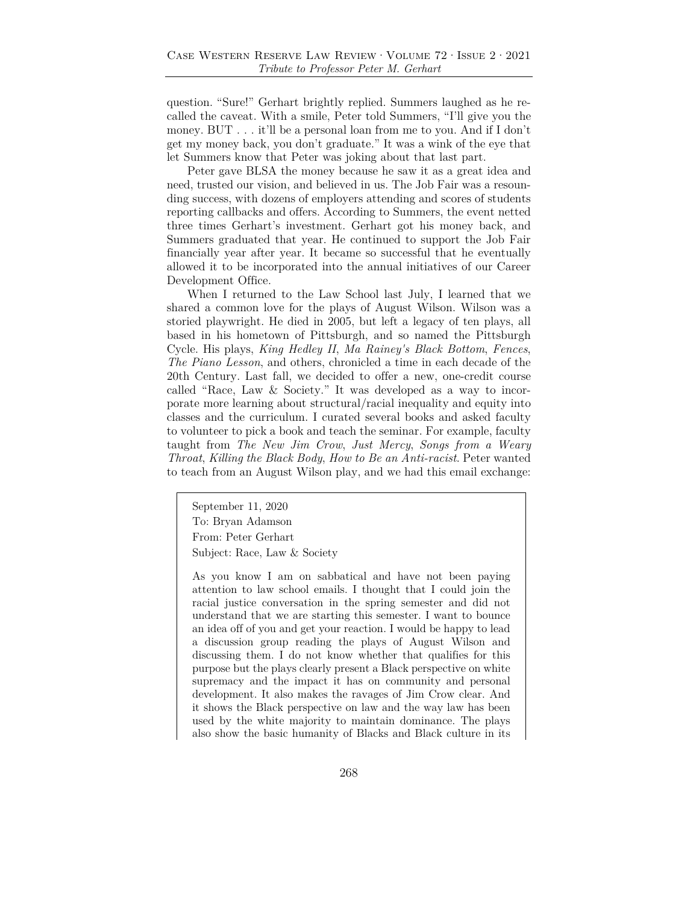question. "Sure!" Gerhart brightly replied. Summers laughed as he recalled the caveat. With a smile, Peter told Summers, "I'll give you the money. BUT . . . it'll be a personal loan from me to you. And if I don't get my money back, you don't graduate." It was a wink of the eye that let Summers know that Peter was joking about that last part.

Peter gave BLSA the money because he saw it as a great idea and need, trusted our vision, and believed in us. The Job Fair was a resounding success, with dozens of employers attending and scores of students reporting callbacks and offers. According to Summers, the event netted three times Gerhart's investment. Gerhart got his money back, and Summers graduated that year. He continued to support the Job Fair financially year after year. It became so successful that he eventually allowed it to be incorporated into the annual initiatives of our Career Development Office.

When I returned to the Law School last July, I learned that we shared a common love for the plays of August Wilson. Wilson was a storied playwright. He died in 2005, but left a legacy of ten plays, all based in his hometown of Pittsburgh, and so named the Pittsburgh Cycle. His plays, *King Hedley II*, *Ma Rainey's Black Bottom*, *Fences*, *The Piano Lesson*, and others, chronicled a time in each decade of the 20th Century. Last fall, we decided to offer a new, one-credit course called "Race, Law & Society." It was developed as a way to incorporate more learning about structural/racial inequality and equity into classes and the curriculum. I curated several books and asked faculty to volunteer to pick a book and teach the seminar. For example, faculty taught from *The New Jim Crow*, *Just Mercy*, *Songs from a Weary Throat*, *Killing the Black Body*, *How to Be an Anti-racist*. Peter wanted to teach from an August Wilson play, and we had this email exchange:

September 11, 2020 To: Bryan Adamson From: Peter Gerhart Subject: Race, Law & Society

As you know I am on sabbatical and have not been paying attention to law school emails. I thought that I could join the racial justice conversation in the spring semester and did not understand that we are starting this semester. I want to bounce an idea off of you and get your reaction. I would be happy to lead a discussion group reading the plays of August Wilson and discussing them. I do not know whether that qualifies for this purpose but the plays clearly present a Black perspective on white supremacy and the impact it has on community and personal development. It also makes the ravages of Jim Crow clear. And it shows the Black perspective on law and the way law has been used by the white majority to maintain dominance. The plays also show the basic humanity of Blacks and Black culture in its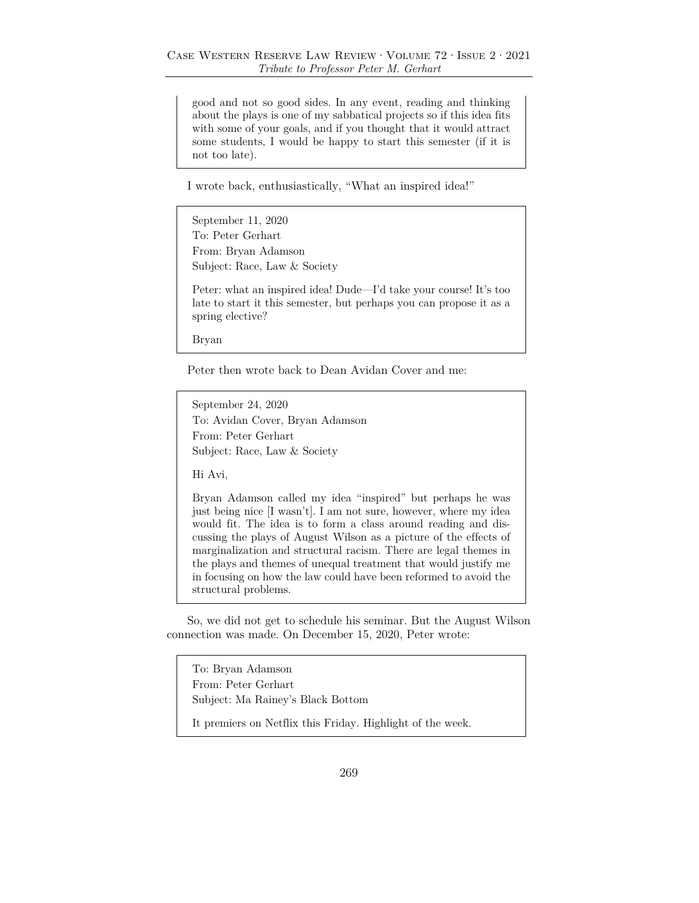good and not so good sides. In any event, reading and thinking about the plays is one of my sabbatical projects so if this idea fits with some of your goals, and if you thought that it would attract some students, I would be happy to start this semester (if it is not too late).

I wrote back, enthusiastically, "What an inspired idea!"

September 11, 2020 To: Peter Gerhart From: Bryan Adamson Subject: Race, Law & Society

Peter: what an inspired idea! Dude—I'd take your course! It's too late to start it this semester, but perhaps you can propose it as a spring elective?

Bryan

Peter then wrote back to Dean Avidan Cover and me:

September 24, 2020 To: Avidan Cover, Bryan Adamson From: Peter Gerhart Subject: Race, Law & Society

Hi Avi,

Bryan Adamson called my idea "inspired" but perhaps he was just being nice [I wasn't]. I am not sure, however, where my idea would fit. The idea is to form a class around reading and discussing the plays of August Wilson as a picture of the effects of marginalization and structural racism. There are legal themes in the plays and themes of unequal treatment that would justify me in focusing on how the law could have been reformed to avoid the structural problems.

So, we did not get to schedule his seminar. But the August Wilson connection was made. On December 15, 2020, Peter wrote:

To: Bryan Adamson From: Peter Gerhart Subject: Ma Rainey's Black Bottom

It premiers on Netflix this Friday. Highlight of the week.